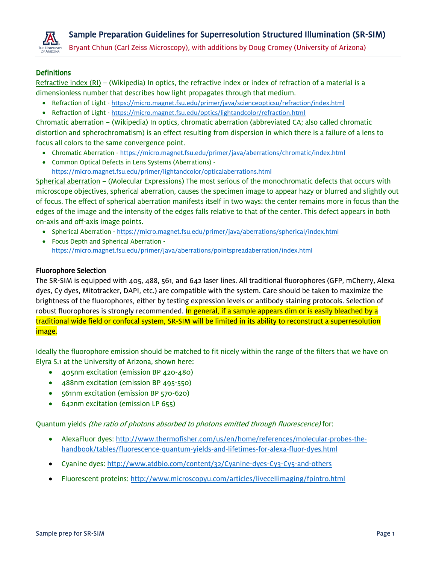

Bryant Chhun (Carl Zeiss Microscopy), with additions by Doug Cromey (University of Arizona)

# **Definitions**

Refractive index (RI) – (Wikipedia) In optics, the refractive index or index of refraction of a material is a dimensionless number that describes how light propagates through that medium.

- Refraction of Light <https://micro.magnet.fsu.edu/primer/java/scienceopticsu/refraction/index.html>
- Refraction of Light <https://micro.magnet.fsu.edu/optics/lightandcolor/refraction.html>

Chromatic aberration – (Wikipedia) In optics, chromatic aberration (abbreviated CA; also called chromatic distortion and spherochromatism) is an effect resulting from dispersion in which there is a failure of a lens to focus all colors to the same convergence point.

- Chromatic Aberration <https://micro.magnet.fsu.edu/primer/java/aberrations/chromatic/index.html>
- Common Optical Defects in Lens Systems (Aberrations) <https://micro.magnet.fsu.edu/primer/lightandcolor/opticalaberrations.html>

Spherical aberration – (Molecular Expressions) The most serious of the monochromatic defects that occurs with microscope objectives, spherical aberration, causes the specimen image to appear hazy or blurred and slightly out of focus. The effect of spherical aberration manifests itself in two ways: the center remains more in focus than the edges of the image and the intensity of the edges falls relative to that of the center. This defect appears in both on-axis and off-axis image points.

- Spherical Aberration <https://micro.magnet.fsu.edu/primer/java/aberrations/spherical/index.html>
- Focus Depth and Spherical Aberration <https://micro.magnet.fsu.edu/primer/java/aberrations/pointspreadaberration/index.html>

### Fluorophore Selection

The SR-SIM is equipped with 405, 488, 561, and 642 laser lines. All traditional fluorophores (GFP, mCherry, Alexa dyes, Cy dyes, Mitotracker, DAPI, etc.) are compatible with the system. Care should be taken to maximize the brightness of the fluorophores, either by testing expression levels or antibody staining protocols. Selection of robust fluorophores is strongly recommended. In general, if a sample appears dim or is easily bleached by a traditional wide field or confocal system, SR-SIM will be limited in its ability to reconstruct a superresolution image.

Ideally the fluorophore emission should be matched to fit nicely within the range of the filters that we have on Elyra S.1 at the University of Arizona, shown here:

- 405nm excitation (emission BP 420-480)
- 488nm excitation (emission BP 495-550)
- 561nm excitation (emission BP 570-620)
- 642nm excitation (emission LP 655)

Quantum yields (the ratio of photons absorbed to photons emitted through fluorescence) for:

- AlexaFluor dyes[: http://www.thermofisher.com/us/en/home/references/molecular-probes-the](http://www.thermofisher.com/us/en/home/references/molecular-probes-the-handbook/tables/fluorescence-quantum-yields-and-lifetimes-for-alexa-fluor-dyes.html)[handbook/tables/fluorescence-quantum-yields-and-lifetimes-for-alexa-fluor-dyes.html](http://www.thermofisher.com/us/en/home/references/molecular-probes-the-handbook/tables/fluorescence-quantum-yields-and-lifetimes-for-alexa-fluor-dyes.html)
- Cyanine dyes:<http://www.atdbio.com/content/32/Cyanine-dyes-Cy3-Cy5-and-others>
- Fluorescent proteins:<http://www.microscopyu.com/articles/livecellimaging/fpintro.html>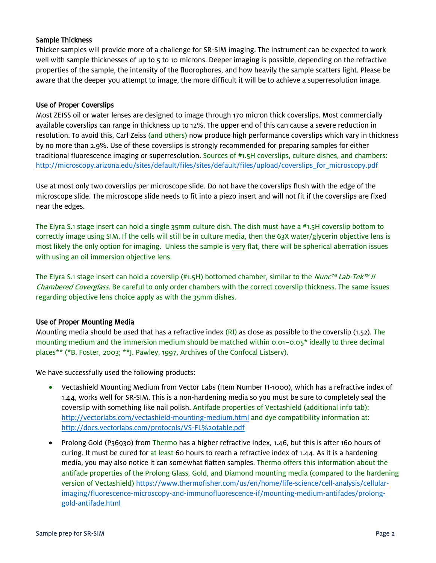## Sample Thickness

Thicker samples will provide more of a challenge for SR-SIM imaging. The instrument can be expected to work well with sample thicknesses of up to 5 to 10 microns. Deeper imaging is possible, depending on the refractive properties of the sample, the intensity of the fluorophores, and how heavily the sample scatters light. Please be aware that the deeper you attempt to image, the more difficult it will be to achieve a superresolution image.

## Use of Proper Coverslips

Most ZEISS oil or water lenses are designed to image through 170 micron thick coverslips. Most commercially available coverslips can range in thickness up to 12%. The upper end of this can cause a severe reduction in resolution. To avoid this, Carl Zeiss (and others) now produce high performance coverslips which vary in thickness by no more than 2.9%. Use of these coverslips is strongly recommended for preparing samples for either traditional fluorescence imaging or superresolution. Sources of #1.5H coverslips, culture dishes, and chambers: [http://microscopy.arizona.edu/sites/default/files/sites/default/files/upload/coverslips\\_for\\_microscopy.pdf](http://microscopy.arizona.edu/sites/default/files/sites/default/files/upload/coverslips_for_microscopy.pdf)

Use at most only two coverslips per microscope slide. Do not have the coverslips flush with the edge of the microscope slide. The microscope slide needs to fit into a piezo insert and will not fit if the coverslips are fixed near the edges.

The Elyra S.1 stage insert can hold a single 35mm culture dish. The dish must have a #1.5H coverslip bottom to correctly image using SIM. If the cells will still be in culture media, then the 63X water/glycerin objective lens is most likely the only option for imaging. Unless the sample is very flat, there will be spherical aberration issues with using an oil immersion objective lens.

The Elyra S.1 stage insert can hold a coverslip (#1.5H) bottomed chamber, similar to the Nunc™ Lab-Tek™ II Chambered Coverglass. Be careful to only order chambers with the correct coverslip thickness. The same issues regarding objective lens choice apply as with the 35mm dishes.

### Use of Proper Mounting Media

Mounting media should be used that has a refractive index  $(RI)$  as close as possible to the coverslip (1.52). The mounting medium and the immersion medium should be matched within 0.01–0.05\* ideally to three decimal places\*\* (\*B. Foster, 2003; \*\*J. Pawley, 1997, Archives of the Confocal Listserv).

We have successfully used the following products:

- Vectashield Mounting Medium from Vector Labs (Item Number H-1000), which has a refractive index of 1.44, works well for SR-SIM. This is a non-hardening media so you must be sure to completely seal the coverslip with something like nail polish. Antifade properties of Vectashield (additional info tab): <http://vectorlabs.com/vectashield-mounting-medium.html> and dye compatibility information at: <http://docs.vectorlabs.com/protocols/VS-FL%20table.pdf>
- Prolong Gold (P36930) from Thermo has a higher refractive index, 1.46, but this is after 160 hours of curing. It must be cured for at least 60 hours to reach a refractive index of 1.44. As it is a hardening media, you may also notice it can somewhat flatten samples. Thermo offers this information about the antifade properties of the Prolong Glass, Gold, and Diamond mounting media (compared to the hardening version of Vectashield) [https://www.thermofisher.com/us/en/home/life-science/cell-analysis/cellular](https://www.thermofisher.com/us/en/home/life-science/cell-analysis/cellular-imaging/fluorescence-microscopy-and-immunofluorescence-if/mounting-medium-antifades/prolong-gold-antifade.html)[imaging/fluorescence-microscopy-and-immunofluorescence-if/mounting-medium-antifades/prolong](https://www.thermofisher.com/us/en/home/life-science/cell-analysis/cellular-imaging/fluorescence-microscopy-and-immunofluorescence-if/mounting-medium-antifades/prolong-gold-antifade.html)[gold-antifade.html](https://www.thermofisher.com/us/en/home/life-science/cell-analysis/cellular-imaging/fluorescence-microscopy-and-immunofluorescence-if/mounting-medium-antifades/prolong-gold-antifade.html)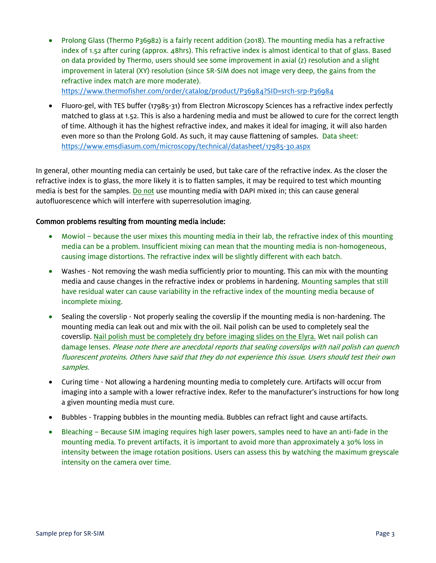Prolong Glass (Thermo P36982) is a fairly recent addition (2018). The mounting media has a refractive index of 1.52 after curing (approx. 48hrs). This refractive index is almost identical to that of glass. Based on data provided by Thermo, users should see some improvement in axial (z) resolution and a slight improvement in lateral (XY) resolution (since SR-SIM does not image very deep, the gains from the refractive index match are more moderate).

<https://www.thermofisher.com/order/catalog/product/P36984?SID=srch-srp-P36984>

 Fluoro-gel, with TES buffer (17985-31) from Electron Microscopy Sciences has a refractive index perfectly matched to glass at 1.52. This is also a hardening media and must be allowed to cure for the correct length of time. Although it has the highest refractive index, and makes it ideal for imaging, it will also harden even more so than the Prolong Gold. As such, it may cause flattening of samples. Data sheet: <https://www.emsdiasum.com/microscopy/technical/datasheet/17985-30.aspx>

In general, other mounting media can certainly be used, but take care of the refractive index. As the closer the refractive index is to glass, the more likely it is to flatten samples, it may be required to test which mounting media is best for the samples. Do not use mounting media with DAPI mixed in; this can cause general autofluorescence which will interfere with superresolution imaging.

# Common problems resulting from mounting media include:

- Mowiol because the user mixes this mounting media in their lab, the refractive index of this mounting media can be a problem. Insufficient mixing can mean that the mounting media is non-homogeneous, causing image distortions. The refractive index will be slightly different with each batch.
- Washes Not removing the wash media sufficiently prior to mounting. This can mix with the mounting media and cause changes in the refractive index or problems in hardening. Mounting samples that still have residual water can cause variability in the refractive index of the mounting media because of incomplete mixing.
- Sealing the coverslip Not properly sealing the coverslip if the mounting media is non-hardening. The mounting media can leak out and mix with the oil. Nail polish can be used to completely seal the coverslip. Nail polish must be completely dry before imaging slides on the Elyra. Wet nail polish can damage lenses. Please note there are anecdotal reports that sealing coverslips with nail polish can quench fluorescent proteins. Others have said that they do not experience this issue. Users should test their own samples.
- Curing time Not allowing a hardening mounting media to completely cure. Artifacts will occur from imaging into a sample with a lower refractive index. Refer to the manufacturer's instructions for how long a given mounting media must cure.
- Bubbles Trapping bubbles in the mounting media. Bubbles can refract light and cause artifacts.
- Bleaching Because SIM imaging requires high laser powers, samples need to have an anti-fade in the mounting media. To prevent artifacts, it is important to avoid more than approximately a 30% loss in intensity between the image rotation positions. Users can assess this by watching the maximum greyscale intensity on the camera over time.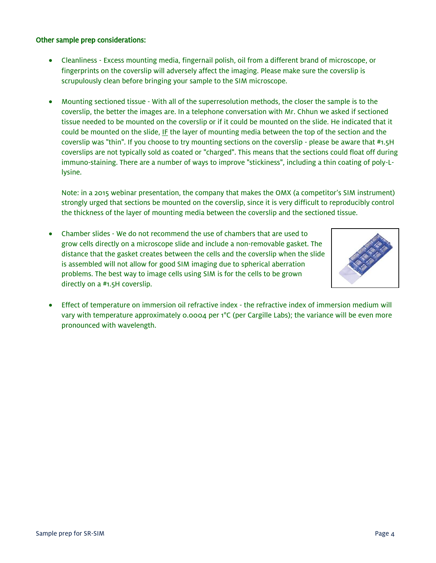### Other sample prep considerations:

- Cleanliness Excess mounting media, fingernail polish, oil from a different brand of microscope, or fingerprints on the coverslip will adversely affect the imaging. Please make sure the coverslip is scrupulously clean before bringing your sample to the SIM microscope.
- Mounting sectioned tissue With all of the superresolution methods, the closer the sample is to the coverslip, the better the images are. In a telephone conversation with Mr. Chhun we asked if sectioned tissue needed to be mounted on the coverslip or if it could be mounted on the slide. He indicated that it could be mounted on the slide, IF the layer of mounting media between the top of the section and the coverslip was "thin". If you choose to try mounting sections on the coverslip - please be aware that #1.5H coverslips are not typically sold as coated or "charged". This means that the sections could float off during immuno-staining. There are a number of ways to improve "stickiness", including a thin coating of poly-Llysine.

Note: in a 2015 webinar presentation, the company that makes the OMX (a competitor's SIM instrument) strongly urged that sections be mounted on the coverslip, since it is very difficult to reproducibly control the thickness of the layer of mounting media between the coverslip and the sectioned tissue.

 Chamber slides - We do not recommend the use of chambers that are used to grow cells directly on a microscope slide and include a non-removable gasket. The distance that the gasket creates between the cells and the coverslip when the slide is assembled will not allow for good SIM imaging due to spherical aberration problems. The best way to image cells using SIM is for the cells to be grown directly on a #1.5H coverslip.



 Effect of temperature on immersion oil refractive index - the refractive index of immersion medium will vary with temperature approximately 0.0004 per 1°C (per Cargille Labs); the variance will be even more pronounced with wavelength.